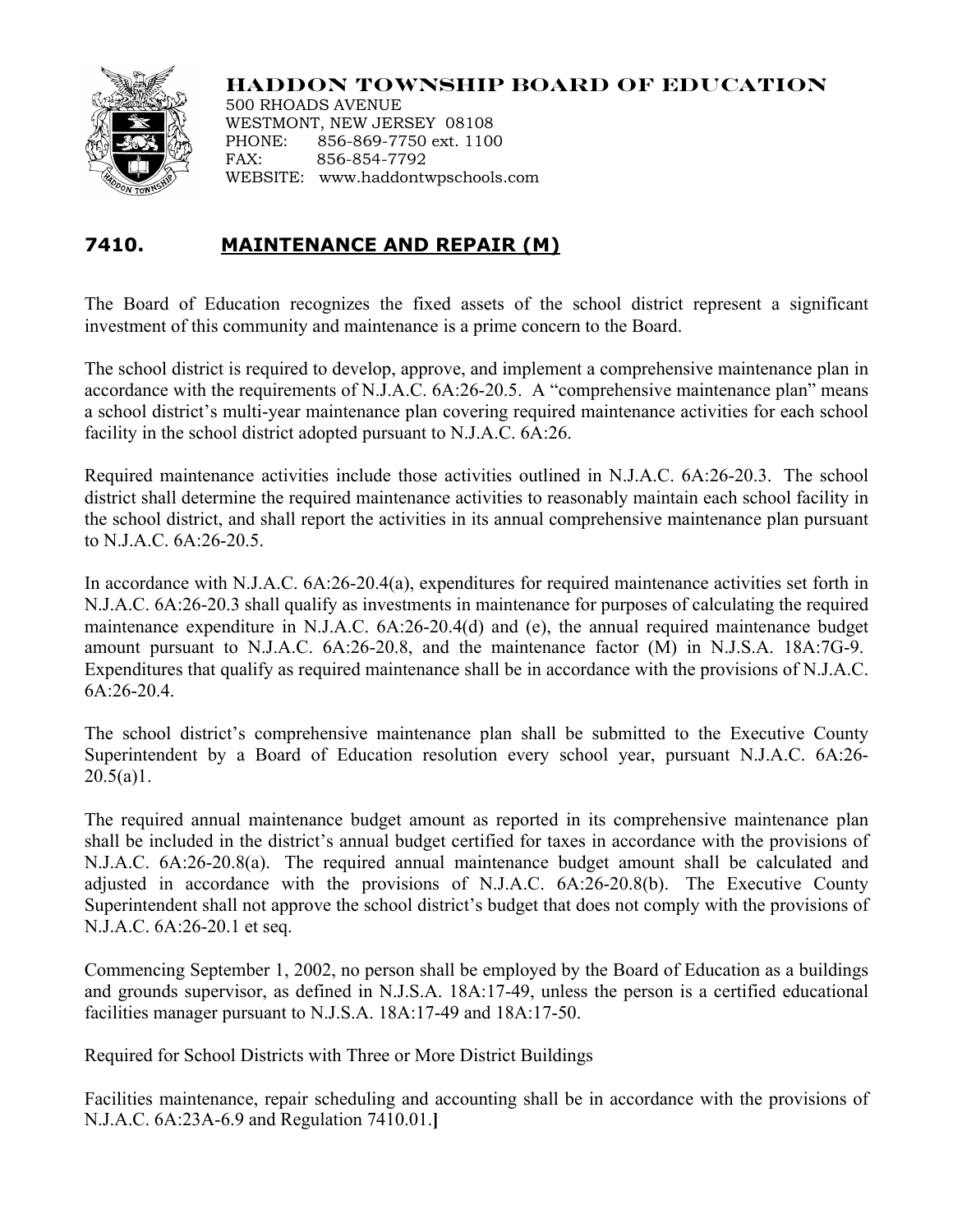

## **HADDON TOWNSHIP BOARD OF EDUCATION**

500 RHOADS AVENUE WESTMONT, NEW JERSEY 08108 PHONE: 856-869-7750 ext. 1100 FAX: 856-854-7792 WEBSITE: www.haddontwpschools.com

## **7410. MAINTENANCE AND REPAIR (M)**

The Board of Education recognizes the fixed assets of the school district represent a significant investment of this community and maintenance is a prime concern to the Board.

The school district is required to develop, approve, and implement a comprehensive maintenance plan in accordance with the requirements of N.J.A.C. 6A:26-20.5. A "comprehensive maintenance plan" means a school district's multi-year maintenance plan covering required maintenance activities for each school facility in the school district adopted pursuant to N.J.A.C. 6A:26.

Required maintenance activities include those activities outlined in N.J.A.C. 6A:26-20.3. The school district shall determine the required maintenance activities to reasonably maintain each school facility in the school district, and shall report the activities in its annual comprehensive maintenance plan pursuant to N.J.A.C. 6A:26-20.5.

In accordance with N.J.A.C. 6A:26-20.4(a), expenditures for required maintenance activities set forth in N.J.A.C. 6A:26-20.3 shall qualify as investments in maintenance for purposes of calculating the required maintenance expenditure in N.J.A.C. 6A:26-20.4(d) and (e), the annual required maintenance budget amount pursuant to N.J.A.C. 6A:26-20.8, and the maintenance factor (M) in N.J.S.A. 18A:7G-9. Expenditures that qualify as required maintenance shall be in accordance with the provisions of N.J.A.C. 6A:26-20.4.

The school district's comprehensive maintenance plan shall be submitted to the Executive County Superintendent by a Board of Education resolution every school year, pursuant N.J.A.C. 6A:26-  $20.5(a)1$ .

The required annual maintenance budget amount as reported in its comprehensive maintenance plan shall be included in the district's annual budget certified for taxes in accordance with the provisions of N.J.A.C. 6A:26-20.8(a). The required annual maintenance budget amount shall be calculated and adjusted in accordance with the provisions of N.J.A.C. 6A:26-20.8(b). The Executive County Superintendent shall not approve the school district's budget that does not comply with the provisions of N.J.A.C. 6A:26-20.1 et seq.

Commencing September 1, 2002, no person shall be employed by the Board of Education as a buildings and grounds supervisor, as defined in N.J.S.A. 18A:17-49, unless the person is a certified educational facilities manager pursuant to N.J.S.A. 18A:17-49 and 18A:17-50.

Required for School Districts with Three or More District Buildings

Facilities maintenance, repair scheduling and accounting shall be in accordance with the provisions of N.J.A.C. 6A:23A-6.9 and Regulation 7410.01.**]**